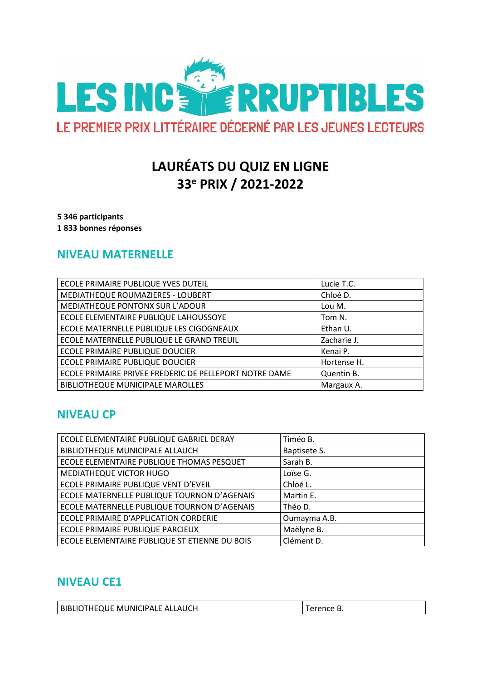

# **LAURÉATS DU QUIZ EN LIGNE** 33<sup>e</sup> PRIX / 2021-2022

5 346 participants 1833 bonnes réponses

### **NIVEAU MATERNELLE**

| ECOLE PRIMAIRE PUBLIQUE YVES DUTEIL                    | Lucie T.C.  |
|--------------------------------------------------------|-------------|
| MEDIATHEQUE ROUMAZIERES - LOUBERT                      | Chloé D.    |
| MEDIATHEQUE PONTONX SUR L'ADOUR                        | Lou M.      |
| ECOLE ELEMENTAIRE PUBLIQUE LAHOUSSOYE                  | Tom N.      |
| ECOLE MATERNELLE PUBLIQUE LES CIGOGNEAUX               | Ethan U.    |
| ECOLE MATERNELLE PUBLIQUE LE GRAND TREUIL              | Zacharie J. |
| ECOLE PRIMAIRE PUBLIQUE DOUCIER                        | Kenai P.    |
| ECOLE PRIMAIRE PUBLIQUE DOUCIER                        | Hortense H. |
| ECOLE PRIMAIRE PRIVEE FREDERIC DE PELLEPORT NOTRE DAME | Quentin B.  |
| <b>BIBLIOTHEQUE MUNICIPALE MAROLLES</b>                | Margaux A.  |

### **NIVEAU CP**

| ECOLE ELEMENTAIRE PUBLIQUE GABRIEL DERAY      | Timéo B.     |
|-----------------------------------------------|--------------|
| BIBLIOTHEQUE MUNICIPALE ALLAUCH               | Baptisete S. |
| ECOLE ELEMENTAIRE PUBLIQUE THOMAS PESQUET     | Sarah B.     |
| MEDIATHEQUE VICTOR HUGO                       | Loïse G.     |
| ECOLE PRIMAIRE PUBLIQUE VENT D'EVEIL          | Chloé L.     |
| ECOLE MATERNELLE PUBLIQUE TOURNON D'AGENAIS   | Martin E.    |
| ECOLE MATERNELLE PUBLIQUE TOURNON D'AGENAIS   | Théo D.      |
| ECOLE PRIMAIRE D'APPLICATION CORDERIE         | Oumayma A.B. |
| ECOLE PRIMAIRE PUBLIQUE PARCIEUX              | Maëlyne B.   |
| ECOLE ELEMENTAIRE PUBLIQUE ST ETIENNE DU BOIS | Clément D.   |

### **NIVEAU CE1**

| BIBLIOTHEQUE MUNICIPALE ALLAUCH | Terence B. |
|---------------------------------|------------|
|---------------------------------|------------|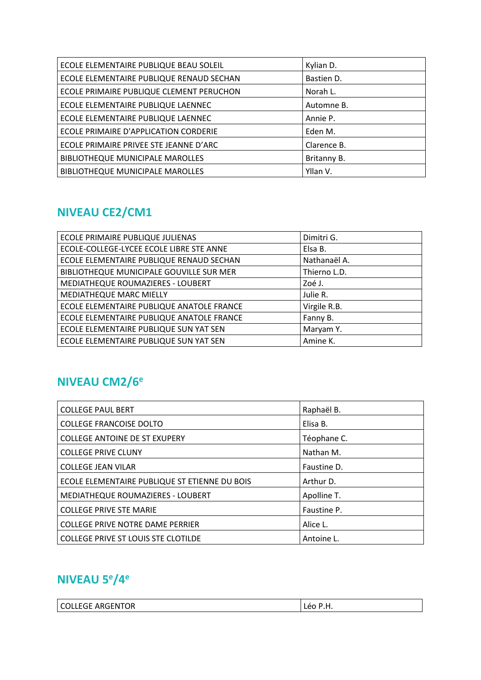| ECOLE ELEMENTAIRE PUBLIQUE BEAU SOLEIL   | Kylian D.   |
|------------------------------------------|-------------|
| ECOLE ELEMENTAIRE PUBLIQUE RENAUD SECHAN | Bastien D.  |
| ECOLE PRIMAIRE PUBLIQUE CLEMENT PERUCHON | Norah L.    |
| ECOLE ELEMENTAIRE PUBLIQUE LAENNEC       | Automne B.  |
| ECOLE ELEMENTAIRE PUBLIQUE LAENNEC       | Annie P.    |
| ECOLE PRIMAIRE D'APPLICATION CORDERIE    | Eden M.     |
| ECOLE PRIMAIRE PRIVEE STE JEANNE D'ARC   | Clarence B. |
| <b>BIBLIOTHEQUE MUNICIPALE MAROLLES</b>  | Britanny B. |
| <b>BIBLIOTHEQUE MUNICIPALE MAROLLES</b>  | Yllan V.    |

# NIVEAU CE2/CM1

| ECOLE PRIMAIRE PUBLIQUE JULIENAS          | Dimitri G.   |
|-------------------------------------------|--------------|
| ECOLE-COLLEGE-LYCEE ECOLE LIBRE STE ANNE  | Elsa B.      |
| ECOLE ELEMENTAIRE PUBLIQUE RENAUD SECHAN  | Nathanaël A. |
| BIBLIOTHEQUE MUNICIPALE GOUVILLE SUR MER  | Thierno L.D. |
| MEDIATHEQUE ROUMAZIERES - LOUBERT         | Zoé J.       |
| MEDIATHEQUE MARC MIELLY                   | Julie R.     |
| ECOLE ELEMENTAIRE PUBLIQUE ANATOLE FRANCE | Virgile R.B. |
| ECOLE ELEMENTAIRE PUBLIQUE ANATOLE FRANCE | Fanny B.     |
| ECOLE ELEMENTAIRE PUBLIQUE SUN YAT SEN    | Maryam Y.    |
| ECOLE ELEMENTAIRE PUBLIQUE SUN YAT SEN    | Amine K.     |

## NIVEAU CM2/6<sup>e</sup>

| <b>COLLEGE PAUL BERT</b>                      | Raphaël B.  |
|-----------------------------------------------|-------------|
| <b>COLLEGE FRANCOISE DOLTO</b>                | Elisa B.    |
| <b>COLLEGE ANTOINE DE ST EXUPERY</b>          | Téophane C. |
| <b>COLLEGE PRIVE CLUNY</b>                    | Nathan M.   |
| <b>COLLEGE JEAN VILAR</b>                     | Faustine D. |
| ECOLE ELEMENTAIRE PUBLIQUE ST ETIENNE DU BOIS | Arthur D.   |
| <b>MEDIATHEQUE ROUMAZIERES - LOUBERT</b>      | Apolline T. |
| <b>COLLEGE PRIVE STE MARIE</b>                | Faustine P. |
| <b>COLLEGE PRIVE NOTRE DAME PERRIER</b>       | Alice L.    |
| COLLEGE PRIVE ST LOUIS STE CLOTILDE           | Antoine L.  |

# NIVEAU 5<sup>e</sup>/4<sup>e</sup>

| <b>GE ARGENTOR</b><br>-cc<br>JLLEGE ARGEN |  |
|-------------------------------------------|--|
|                                           |  |